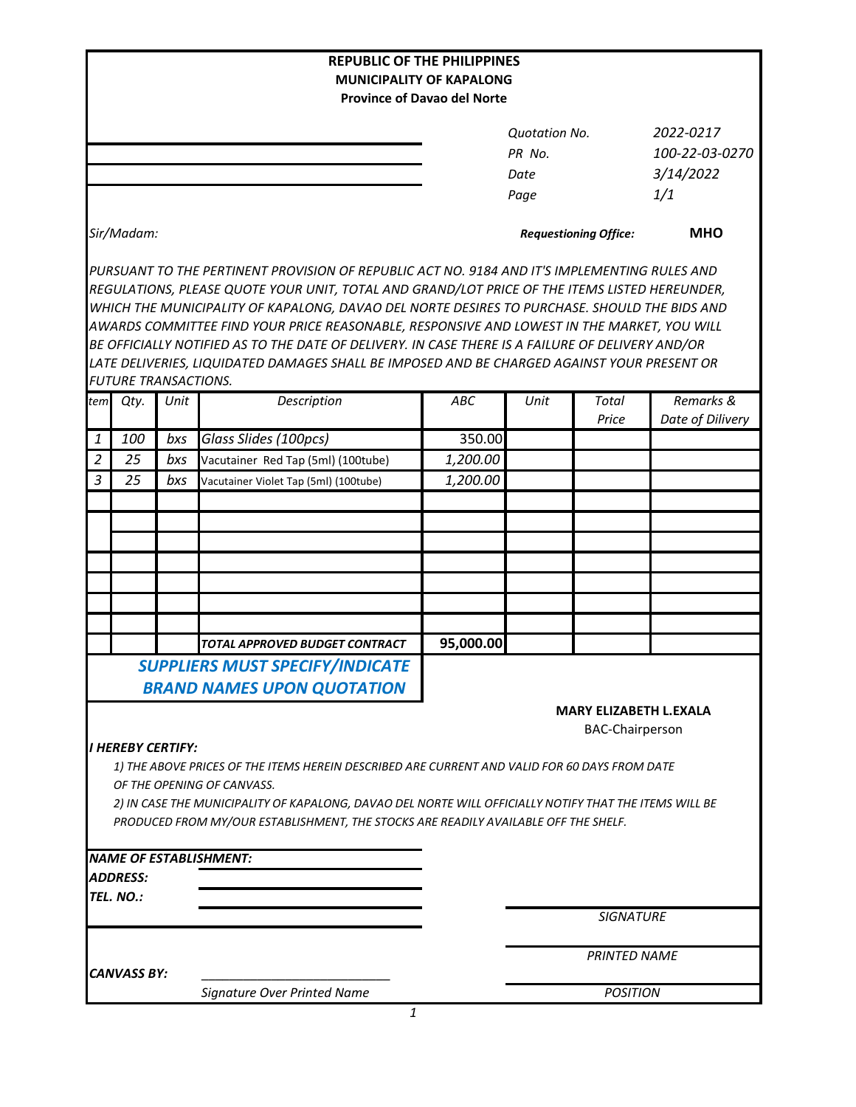|                                                         |                             |      | <b>REPUBLIC OF THE PHILIPPINES</b>                                                                                                                                                                                                                                                                                                                                                                                                                                                                                                                                                             |           |                              |                     |                               |
|---------------------------------------------------------|-----------------------------|------|------------------------------------------------------------------------------------------------------------------------------------------------------------------------------------------------------------------------------------------------------------------------------------------------------------------------------------------------------------------------------------------------------------------------------------------------------------------------------------------------------------------------------------------------------------------------------------------------|-----------|------------------------------|---------------------|-------------------------------|
|                                                         |                             |      | <b>MUNICIPALITY OF KAPALONG</b><br><b>Province of Davao del Norte</b>                                                                                                                                                                                                                                                                                                                                                                                                                                                                                                                          |           |                              |                     |                               |
|                                                         |                             |      |                                                                                                                                                                                                                                                                                                                                                                                                                                                                                                                                                                                                |           |                              |                     |                               |
|                                                         |                             |      |                                                                                                                                                                                                                                                                                                                                                                                                                                                                                                                                                                                                |           | <b>Quotation No.</b>         |                     | 2022-0217                     |
|                                                         |                             |      |                                                                                                                                                                                                                                                                                                                                                                                                                                                                                                                                                                                                |           | PR No.                       |                     | 100-22-03-0270                |
|                                                         |                             |      |                                                                                                                                                                                                                                                                                                                                                                                                                                                                                                                                                                                                |           | Date                         |                     | 3/14/2022                     |
|                                                         |                             |      |                                                                                                                                                                                                                                                                                                                                                                                                                                                                                                                                                                                                |           | Page                         |                     | 1/1                           |
| Sir/Madam:                                              |                             |      |                                                                                                                                                                                                                                                                                                                                                                                                                                                                                                                                                                                                |           | <b>Requestioning Office:</b> |                     | <b>MHO</b>                    |
|                                                         |                             |      | PURSUANT TO THE PERTINENT PROVISION OF REPUBLIC ACT NO. 9184 AND IT'S IMPLEMENTING RULES AND<br>REGULATIONS, PLEASE QUOTE YOUR UNIT, TOTAL AND GRAND/LOT PRICE OF THE ITEMS LISTED HEREUNDER,<br>WHICH THE MUNICIPALITY OF KAPALONG, DAVAO DEL NORTE DESIRES TO PURCHASE. SHOULD THE BIDS AND<br>AWARDS COMMITTEE FIND YOUR PRICE REASONABLE, RESPONSIVE AND LOWEST IN THE MARKET, YOU WILL<br>BE OFFICIALLY NOTIFIED AS TO THE DATE OF DELIVERY. IN CASE THERE IS A FAILURE OF DELIVERY AND/OR<br>LATE DELIVERIES, LIQUIDATED DAMAGES SHALL BE IMPOSED AND BE CHARGED AGAINST YOUR PRESENT OR |           |                              |                     |                               |
|                                                         | <b>FUTURE TRANSACTIONS.</b> |      |                                                                                                                                                                                                                                                                                                                                                                                                                                                                                                                                                                                                |           |                              |                     |                               |
| tem                                                     | Qty.                        | Unit | Description                                                                                                                                                                                                                                                                                                                                                                                                                                                                                                                                                                                    | ABC       | Unit                         | Total<br>Price      | Remarks &<br>Date of Dilivery |
| 1                                                       | 100                         | bxs  | Glass Slides (100pcs)                                                                                                                                                                                                                                                                                                                                                                                                                                                                                                                                                                          | 350.00    |                              |                     |                               |
| $\overline{2}$                                          | 25                          | bxs  | Vacutainer Red Tap (5ml) (100tube)                                                                                                                                                                                                                                                                                                                                                                                                                                                                                                                                                             | 1,200.00  |                              |                     |                               |
| 3                                                       | 25                          | bxs  | Vacutainer Violet Tap (5ml) (100tube)                                                                                                                                                                                                                                                                                                                                                                                                                                                                                                                                                          | 1,200.00  |                              |                     |                               |
|                                                         |                             |      |                                                                                                                                                                                                                                                                                                                                                                                                                                                                                                                                                                                                |           |                              |                     |                               |
|                                                         |                             |      |                                                                                                                                                                                                                                                                                                                                                                                                                                                                                                                                                                                                |           |                              |                     |                               |
|                                                         |                             |      |                                                                                                                                                                                                                                                                                                                                                                                                                                                                                                                                                                                                |           |                              |                     |                               |
|                                                         |                             |      |                                                                                                                                                                                                                                                                                                                                                                                                                                                                                                                                                                                                |           |                              |                     |                               |
|                                                         |                             |      |                                                                                                                                                                                                                                                                                                                                                                                                                                                                                                                                                                                                |           |                              |                     |                               |
|                                                         |                             |      |                                                                                                                                                                                                                                                                                                                                                                                                                                                                                                                                                                                                |           |                              |                     |                               |
|                                                         |                             |      |                                                                                                                                                                                                                                                                                                                                                                                                                                                                                                                                                                                                |           |                              |                     |                               |
|                                                         |                             |      | TOTAL APPROVED BUDGET CONTRACT                                                                                                                                                                                                                                                                                                                                                                                                                                                                                                                                                                 | 95,000.00 |                              |                     |                               |
|                                                         |                             |      | <b>SUPPLIERS MUST SPECIFY/INDICATE</b>                                                                                                                                                                                                                                                                                                                                                                                                                                                                                                                                                         |           |                              |                     |                               |
|                                                         |                             |      | <b>BRAND NAMES UPON QUOTATION</b>                                                                                                                                                                                                                                                                                                                                                                                                                                                                                                                                                              |           |                              |                     |                               |
| <b>MARY ELIZABETH L.EXALA</b><br><b>BAC-Chairperson</b> |                             |      |                                                                                                                                                                                                                                                                                                                                                                                                                                                                                                                                                                                                |           |                              |                     |                               |
|                                                         | I HEREBY CERTIFY:           |      | 1) THE ABOVE PRICES OF THE ITEMS HEREIN DESCRIBED ARE CURRENT AND VALID FOR 60 DAYS FROM DATE<br>OF THE OPENING OF CANVASS.<br>2) IN CASE THE MUNICIPALITY OF KAPALONG, DAVAO DEL NORTE WILL OFFICIALLY NOTIFY THAT THE ITEMS WILL BE<br>PRODUCED FROM MY/OUR ESTABLISHMENT, THE STOCKS ARE READILY AVAILABLE OFF THE SHELF.                                                                                                                                                                                                                                                                   |           |                              |                     |                               |
|                                                         |                             |      | <b>NAME OF ESTABLISHMENT:</b>                                                                                                                                                                                                                                                                                                                                                                                                                                                                                                                                                                  |           |                              |                     |                               |
|                                                         | <b>ADDRESS:</b>             |      |                                                                                                                                                                                                                                                                                                                                                                                                                                                                                                                                                                                                |           |                              |                     |                               |
|                                                         | TEL. NO.:                   |      |                                                                                                                                                                                                                                                                                                                                                                                                                                                                                                                                                                                                |           |                              |                     |                               |
|                                                         |                             |      |                                                                                                                                                                                                                                                                                                                                                                                                                                                                                                                                                                                                |           |                              | <b>SIGNATURE</b>    |                               |
|                                                         | <b>CANVASS BY:</b>          |      |                                                                                                                                                                                                                                                                                                                                                                                                                                                                                                                                                                                                |           |                              | <b>PRINTED NAME</b> |                               |
|                                                         |                             |      | Signature Over Printed Name                                                                                                                                                                                                                                                                                                                                                                                                                                                                                                                                                                    |           | <b>POSITION</b>              |                     |                               |